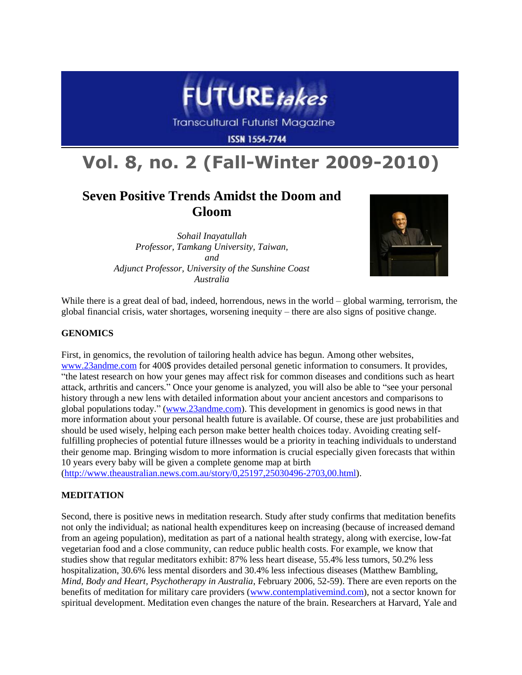

**Transcultural Futurist Magazine** 

**ISSN 1554-7744** 

# **Vol. 8, no. 2 (Fall-Winter 2009-2010)**

# **Seven Positive Trends Amidst the Doom and Gloom**

*Sohail Inayatullah Professor, Tamkang University, Taiwan, and Adjunct Professor, University of the Sunshine Coast Australia*



While there is a great deal of bad, indeed, horrendous, news in the world – global warming, terrorism, the global financial crisis, water shortages, worsening inequity – there are also signs of positive change.

# **GENOMICS**

First, in genomics, the revolution of tailoring health advice has begun. Among other websites, [www.23andme.com](http://www.23andme.com/) for 400\$ provides detailed personal genetic information to consumers. It provides, "the latest research on how your genes may affect risk for common diseases and conditions such as heart attack, arthritis and cancers." Once your genome is analyzed, you will also be able to "see your personal history through a new lens with detailed information about your ancient ancestors and comparisons to global populations today." [\(www.23andme.com\)](http://www.23andme.com/). This development in genomics is good news in that more information about your personal health future is available. Of course, these are just probabilities and should be used wisely, helping each person make better health choices today. Avoiding creating selffulfilling prophecies of potential future illnesses would be a priority in teaching individuals to understand their genome map. Bringing wisdom to more information is crucial especially given forecasts that within 10 years every baby will be given a complete genome map at birth

[\(http://www.theaustralian.news.com.au/story/0,25197,25030496-2703,00.html\)](http://www.theaustralian.news.com.au/story/0,25197,25030496-2703,00.html).

# **MEDITATION**

Second, there is positive news in meditation research. Study after study confirms that meditation benefits not only the individual; as national health expenditures keep on increasing (because of increased demand from an ageing population), meditation as part of a national health strategy, along with exercise, low-fat vegetarian food and a close community, can reduce public health costs. For example, we know that studies show that regular meditators exhibit: 87% less heart disease, 55.4% less tumors, 50.2% less hospitalization, 30.6% less mental disorders and 30.4% less infectious diseases (Matthew Bambling, *Mind, Body and Heart, Psychotherapy in Australia*, February 2006, 52-59). There are even reports on the benefits of meditation for military care providers [\(www.contemplativemind.com\)](http://www.contemplativemind.com/), not a sector known for spiritual development. Meditation even changes the nature of the brain. Researchers at Harvard, Yale and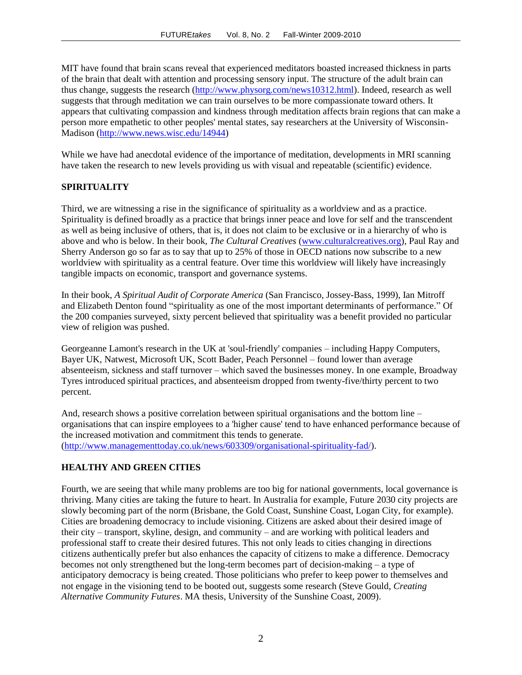MIT have found that brain scans reveal that experienced meditators boasted increased thickness in parts of the brain that dealt with attention and processing sensory input. The structure of the adult brain can thus change, suggests the research [\(http://www.physorg.com/news10312.html\)](http://www.physorg.com/news10312.html). Indeed, research as well suggests that through meditation we can train ourselves to be more compassionate toward others. It appears that cultivating compassion and kindness through meditation affects brain regions that can make a person more empathetic to other peoples' mental states, say researchers at the University of Wisconsin-Madison [\(http://www.news.wisc.edu/14944\)](http://www.news.wisc.edu/14944)

While we have had anecdotal evidence of the importance of meditation, developments in MRI scanning have taken the research to new levels providing us with visual and repeatable (scientific) evidence.

# **SPIRITUALITY**

Third, we are witnessing a rise in the significance of spirituality as a worldview and as a practice. Spirituality is defined broadly as a practice that brings inner peace and love for self and the transcendent as well as being inclusive of others, that is, it does not claim to be exclusive or in a hierarchy of who is above and who is below. In their book, *The Cultural Creatives* [\(www.culturalcreatives.org\)](http://www.culturalcreatives.org/), Paul Ray and Sherry Anderson go so far as to say that up to 25% of those in OECD nations now subscribe to a new worldview with spirituality as a central feature. Over time this worldview will likely have increasingly tangible impacts on economic, transport and governance systems.

In their book, *A Spiritual Audit of Corporate America* (San Francisco, Jossey-Bass, 1999), Ian Mitroff and Elizabeth Denton found "spirituality as one of the most important determinants of performance." Of the 200 companies surveyed, sixty percent believed that spirituality was a benefit provided no particular view of religion was pushed.

Georgeanne Lamont's research in the UK at 'soul-friendly' companies – including Happy Computers, Bayer UK, Natwest, Microsoft UK, Scott Bader, Peach Personnel – found lower than average absenteeism, sickness and staff turnover – which saved the businesses money. In one example, Broadway Tyres introduced spiritual practices, and absenteeism dropped from twenty-five/thirty percent to two percent.

And, research shows a positive correlation between spiritual organisations and the bottom line – organisations that can inspire employees to a 'higher cause' tend to have enhanced performance because of the increased motivation and commitment this tends to generate. [\(http://www.managementtoday.co.uk/news/603309/organisational-spirituality-fad/\)](http://www.managementtoday.co.uk/news/603309/organisational-spirituality-fad/).

#### **HEALTHY AND GREEN CITIES**

Fourth, we are seeing that while many problems are too big for national governments, local governance is thriving. Many cities are taking the future to heart. In Australia for example, Future 2030 city projects are slowly becoming part of the norm (Brisbane, the Gold Coast, Sunshine Coast, Logan City, for example). Cities are broadening democracy to include visioning. Citizens are asked about their desired image of their city – transport, skyline, design, and community – and are working with political leaders and professional staff to create their desired futures. This not only leads to cities changing in directions citizens authentically prefer but also enhances the capacity of citizens to make a difference. Democracy becomes not only strengthened but the long-term becomes part of decision-making – a type of anticipatory democracy is being created. Those politicians who prefer to keep power to themselves and not engage in the visioning tend to be booted out, suggests some research (Steve Gould, *Creating Alternative Community Futures*. MA thesis, University of the Sunshine Coast, 2009).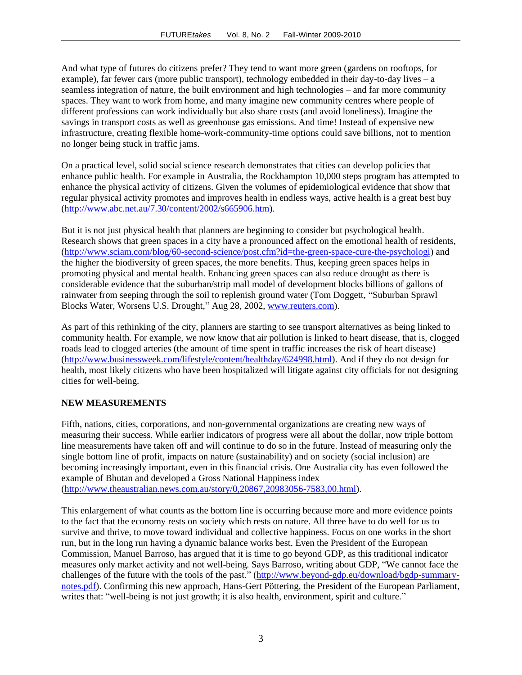And what type of futures do citizens prefer? They tend to want more green (gardens on rooftops, for example), far fewer cars (more public transport), technology embedded in their day-to-day lives – a seamless integration of nature, the built environment and high technologies – and far more community spaces. They want to work from home, and many imagine new community centres where people of different professions can work individually but also share costs (and avoid loneliness). Imagine the savings in transport costs as well as greenhouse gas emissions. And time! Instead of expensive new infrastructure, creating flexible home-work-community-time options could save billions, not to mention no longer being stuck in traffic jams.

On a practical level, solid social science research demonstrates that cities can develop policies that enhance public health. For example in Australia, the Rockhampton 10,000 steps program has attempted to enhance the physical activity of citizens. Given the volumes of epidemiological evidence that show that regular physical activity promotes and improves health in endless ways, active health is a great best buy [\(http://www.abc.net.au/7.30/content/2002/s665906.htm\)](http://www.abc.net.au/7.30/content/2002/s665906.htm).

But it is not just physical health that planners are beginning to consider but psychological health. Research shows that green spaces in a city have a pronounced affect on the emotional health of residents, [\(http://www.sciam.com/blog/60-second-science/post.cfm?id=the-green-space-cure-the-psychologi\)](http://www.sciam.com/blog/60-second-science/post.cfm?id=the-green-space-cure-the-psychologi) and the higher the biodiversity of green spaces, the more benefits. Thus, keeping green spaces helps in promoting physical and mental health. Enhancing green spaces can also reduce drought as there is considerable evidence that the suburban/strip mall model of development blocks billions of gallons of rainwater from seeping through the soil to replenish ground water (Tom Doggett, "Suburban Sprawl Blocks Water, Worsens U.S. Drought," Aug 28, 2002, [www.reuters.com\)](http://www.reuters.com/).

As part of this rethinking of the city, planners are starting to see transport alternatives as being linked to community health. For example, we now know that air pollution is linked to heart disease, that is, clogged roads lead to clogged arteries (the amount of time spent in traffic increases the risk of heart disease) [\(http://www.businessweek.com/lifestyle/content/healthday/624998.html\)](http://www.businessweek.com/lifestyle/content/healthday/624998.html). And if they do not design for health, most likely citizens who have been hospitalized will litigate against city officials for not designing cities for well-being.

#### **NEW MEASUREMENTS**

Fifth, nations, cities, corporations, and non-governmental organizations are creating new ways of measuring their success. While earlier indicators of progress were all about the dollar, now triple bottom line measurements have taken off and will continue to do so in the future. Instead of measuring only the single bottom line of profit, impacts on nature (sustainability) and on society (social inclusion) are becoming increasingly important, even in this financial crisis. One Australia city has even followed the example of Bhutan and developed a Gross National Happiness index [\(http://www.theaustralian.news.com.au/story/0,20867,20983056-7583,00.html\)](http://www.theaustralian.news.com.au/story/0,20867,20983056-7583,00.html).

This enlargement of what counts as the bottom line is occurring because more and more evidence points to the fact that the economy rests on society which rests on nature. All three have to do well for us to survive and thrive, to move toward individual and collective happiness. Focus on one works in the short run, but in the long run having a dynamic balance works best. Even the President of the European Commission, Manuel Barroso, has argued that it is time to go beyond GDP, as this traditional indicator measures only market activity and not well-being. Says Barroso, writing about GDP, "We cannot face the challenges of the future with the tools of the past." [\(http://www.beyond-gdp.eu/download/bgdp-summary](http://www.beyond-gdp.eu/download/bgdp-summary-notes.pdf)[notes.pdf\)](http://www.beyond-gdp.eu/download/bgdp-summary-notes.pdf). Confirming this new approach, Hans-Gert Pöttering, the President of the European Parliament, writes that: "well-being is not just growth; it is also health, environment, spirit and culture."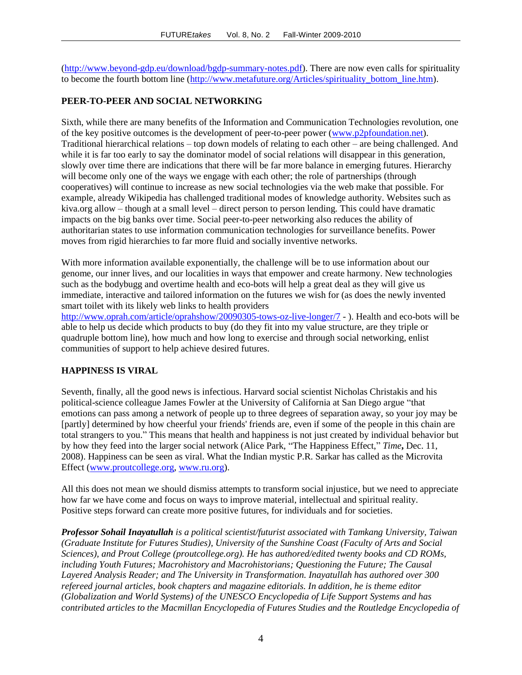[\(http://www.beyond-gdp.eu/download/bgdp-summary-notes.pdf\)](http://www.beyond-gdp.eu/download/bgdp-summary-notes.pdf). There are now even calls for spirituality to become the fourth bottom line [\(http://www.metafuture.org/Articles/spirituality\\_bottom\\_line.htm\)](http://www.metafuture.org/Articles/spirituality_bottom_line.htm).

# **PEER-TO-PEER AND SOCIAL NETWORKING**

Sixth, while there are many benefits of the Information and Communication Technologies revolution, one of the key positive outcomes is the development of peer-to-peer power [\(www.p2pfoundation.net\)](http://www.p2pfoundation.net/). Traditional hierarchical relations – top down models of relating to each other – are being challenged. And while it is far too early to say the dominator model of social relations will disappear in this generation, slowly over time there are indications that there will be far more balance in emerging futures. Hierarchy will become only one of the ways we engage with each other; the role of partnerships (through cooperatives) will continue to increase as new social technologies via the web make that possible. For example, already Wikipedia has challenged traditional modes of knowledge authority. Websites such as kiva.org allow – though at a small level – direct person to person lending. This could have dramatic impacts on the big banks over time. Social peer-to-peer networking also reduces the ability of authoritarian states to use information communication technologies for surveillance benefits. Power moves from rigid hierarchies to far more fluid and socially inventive networks.

With more information available exponentially, the challenge will be to use information about our genome, our inner lives, and our localities in ways that empower and create harmony. New technologies such as the bodybugg and overtime health and eco-bots will help a great deal as they will give us immediate, interactive and tailored information on the futures we wish for (as does the newly invented smart toilet with its likely web links to health providers

<http://www.oprah.com/article/oprahshow/20090305-tows-oz-live-longer/7> - ). Health and eco-bots will be able to help us decide which products to buy (do they fit into my value structure, are they triple or quadruple bottom line), how much and how long to exercise and through social networking, enlist communities of support to help achieve desired futures.

#### **HAPPINESS IS VIRAL**

Seventh, finally, all the good news is infectious. Harvard social scientist Nicholas Christakis and his political-science colleague James Fowler at the University of California at San Diego argue "that emotions can pass among a network of people up to three degrees of separation away, so your joy may be [partly] determined by how cheerful your friends' friends are, even if some of the people in this chain are total strangers to you." This means that health and happiness is not just created by individual behavior but by how they feed into the larger social network (Alice Park, "The Happiness Effect," *Time***,** Dec. 11, 2008). Happiness can be seen as viral. What the Indian mystic P.R. Sarkar has called as the Microvita Effect [\(www.proutcollege.org,](http://www.proutcollege.org/) [www.ru.org\)](http://www.ru.org/).

All this does not mean we should dismiss attempts to transform social injustice, but we need to appreciate how far we have come and focus on ways to improve material, intellectual and spiritual reality. Positive steps forward can create more positive futures, for individuals and for societies.

*Professor Sohail Inayatullah is a political scientist/futurist associated with Tamkang University, Taiwan (Graduate Institute for Futures Studies), University of the Sunshine Coast (Faculty of Arts and Social Sciences), and Prout College (proutcollege.org). He has authored/edited twenty books and CD ROMs, including Youth Futures; Macrohistory and Macrohistorians; Questioning the Future; The Causal Layered Analysis Reader; and The University in Transformation. Inayatullah has authored over 300 refereed journal articles, book chapters and magazine editorials. In addition, he is theme editor (Globalization and World Systems) of the UNESCO Encyclopedia of Life Support Systems and has contributed articles to the Macmillan Encyclopedia of Futures Studies and the Routledge Encyclopedia of*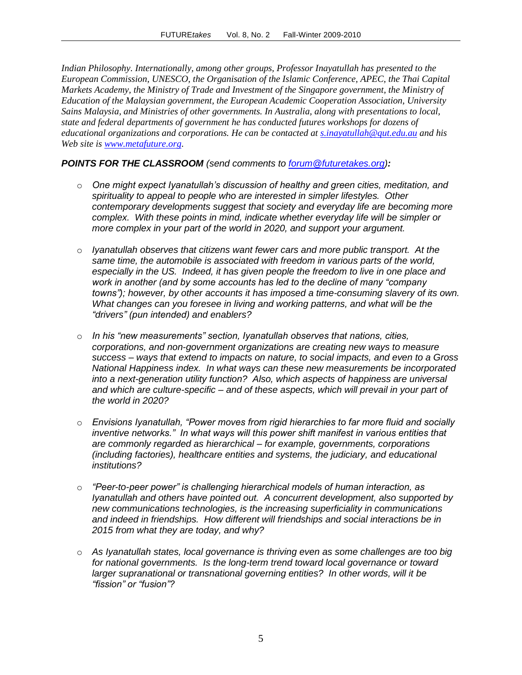*Indian Philosophy. Internationally, among other groups, Professor Inayatullah has presented to the European Commission, UNESCO, the Organisation of the Islamic Conference, APEC, the Thai Capital Markets Academy, the Ministry of Trade and Investment of the Singapore government, the Ministry of Education of the Malaysian government, the European Academic Cooperation Association, University Sains Malaysia, and Ministries of other governments. In Australia, along with presentations to local, state and federal departments of government he has conducted futures workshops for dozens of educational organizations and corporations. He can be contacted at [s.inayatullah@qut.edu.au](mailto:s.inayatullah@qut.edu.au) and his Web site is [www.metafuture.org.](http://www.metafuture.org/)*

# *POINTS FOR THE CLASSROOM (send comments to [forum@futuretakes.org\)](mailto:forum@futuretakes.org):*

- o *One might expect Iyanatullah's discussion of healthy and green cities, meditation, and spirituality to appeal to people who are interested in simpler lifestyles. Other contemporary developments suggest that society and everyday life are becoming more complex. With these points in mind, indicate whether everyday life will be simpler or more complex in your part of the world in 2020, and support your argument.*
- o *Iyanatullah observes that citizens want fewer cars and more public transport. At the same time, the automobile is associated with freedom in various parts of the world, especially in the US. Indeed, it has given people the freedom to live in one place and work in another (and by some accounts has led to the decline of many "company towns"); however, by other accounts it has imposed a time-consuming slavery of its own. What changes can you foresee in living and working patterns, and what will be the "drivers" (pun intended) and enablers?*
- o *In his "new measurements" section, Iyanatullah observes that nations, cities, corporations, and non-government organizations are creating new ways to measure success – ways that extend to impacts on nature, to social impacts, and even to a Gross National Happiness index. In what ways can these new measurements be incorporated into a next-generation utility function? Also, which aspects of happiness are universal and which are culture-specific – and of these aspects, which will prevail in your part of the world in 2020?*
- o *Envisions Iyanatullah, "Power moves from rigid hierarchies to far more fluid and socially inventive networks.*" In what ways will this power shift manifest in various entities that *are commonly regarded as hierarchical – for example, governments, corporations (including factories), healthcare entities and systems, the judiciary, and educational institutions?*
- o *"Peer-to-peer power" is challenging hierarchical models of human interaction, as Iyanatullah and others have pointed out. A concurrent development, also supported by new communications technologies, is the increasing superficiality in communications and indeed in friendships. How different will friendships and social interactions be in 2015 from what they are today, and why?*
- o *As Iyanatullah states, local governance is thriving even as some challenges are too big for national governments. Is the long-term trend toward local governance or toward larger supranational or transnational governing entities? In other words, will it be "fission" or "fusion"?*